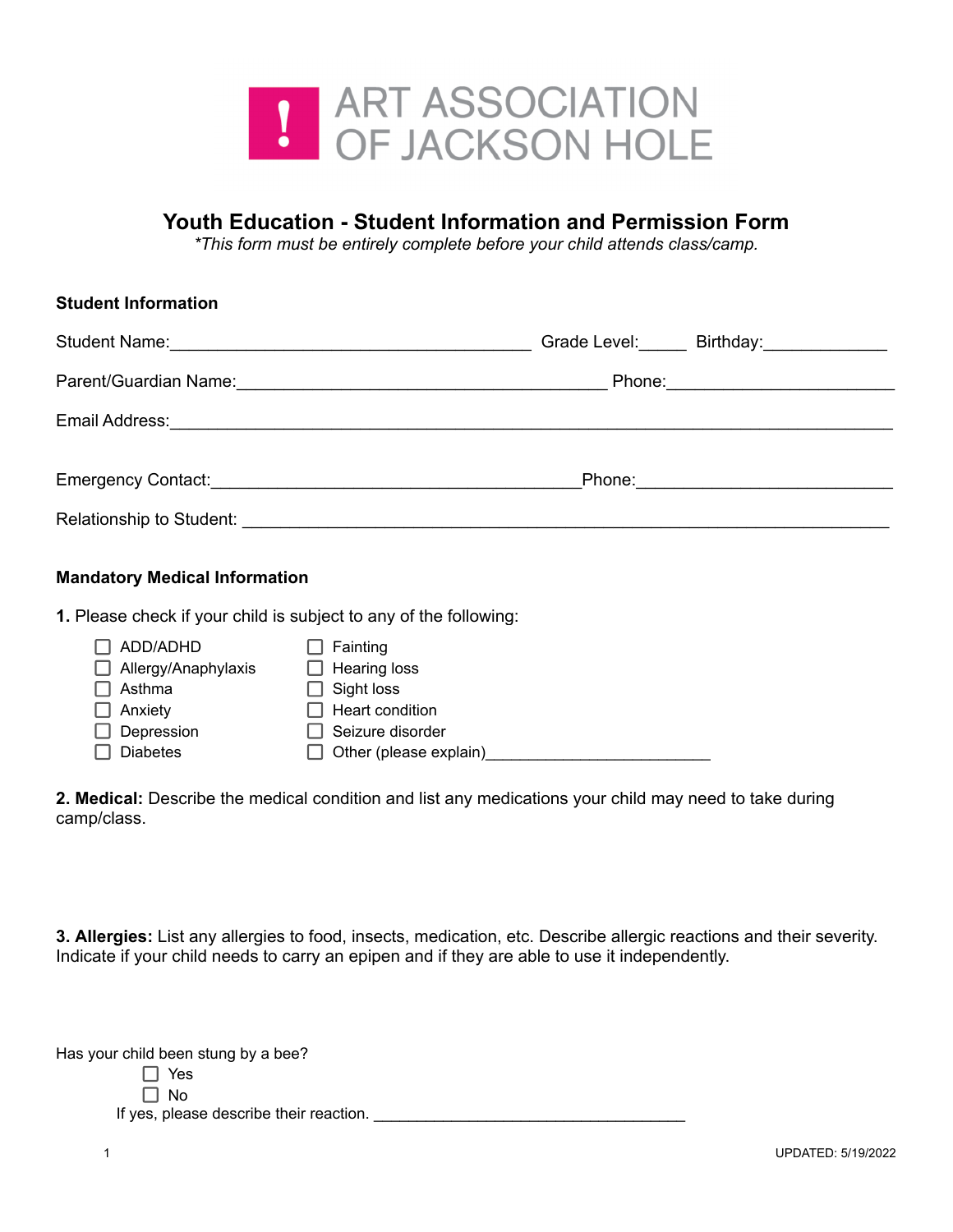

## **Youth Education - Student Information and Permission Form**

*\*This form must be entirely complete before your child attends class/camp.*

| <b>Student Information</b>                                                                                                                                                                                                     |                                     |
|--------------------------------------------------------------------------------------------------------------------------------------------------------------------------------------------------------------------------------|-------------------------------------|
|                                                                                                                                                                                                                                | Grade Level: Birthday: Crade Level: |
|                                                                                                                                                                                                                                |                                     |
|                                                                                                                                                                                                                                |                                     |
|                                                                                                                                                                                                                                |                                     |
| Relationship to Student: Network and the students of the students of the students of the students of the students of the students of the students of the students of the students of the students of the students of the stude |                                     |

## **Mandatory Medical Information**

**1.** Please check if your child is subject to any of the following:

| ADD/ADHD            | Fainting               |
|---------------------|------------------------|
| Allergy/Anaphylaxis | <b>Hearing loss</b>    |
| Asthma              | Sight loss             |
| Anxiety             | Heart condition        |
| Depression          | Seizure disorder       |
| <b>Diabetes</b>     | Other (please explain) |

**2. Medical:** Describe the medical condition and list any medications your child may need to take during camp/class.

**3. Allergies:** List any allergies to food, insects, medication, etc. Describe allergic reactions and their severity. Indicate if your child needs to carry an epipen and if they are able to use it independently.

| Has your child been stung by a bee? |  |  |  |  |  |
|-------------------------------------|--|--|--|--|--|
|-------------------------------------|--|--|--|--|--|

| ×<br>۰.<br>× |
|--------------|
|              |

 $\Box$  No If yes, please describe their reaction. \_\_\_\_\_\_\_\_\_\_\_\_\_\_\_\_\_\_\_\_\_\_\_\_\_\_\_\_\_\_\_\_\_\_\_\_